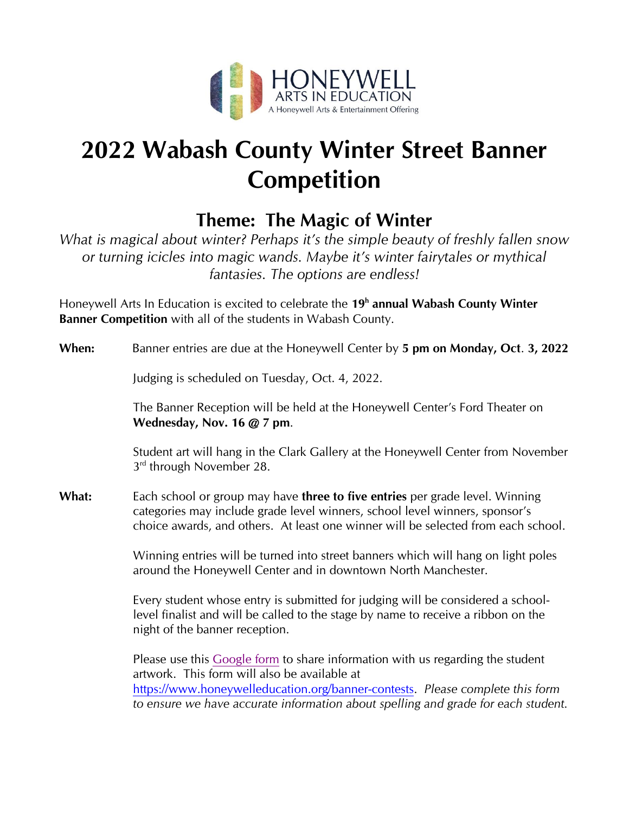

# **2022 Wabash County Winter Street Banner Competition**

## **Theme: The Magic of Winter**

*What is magical about winter? Perhaps it's the simple beauty of freshly fallen snow or turning icicles into magic wands. Maybe it's winter fairytales or mythical fantasies. The options are endless!*

Honeywell Arts In Education is excited to celebrate the **19 h annual Wabash County Winter Banner Competition** with all of the students in Wabash County.

### **When:** Banner entries are due at the Honeywell Center by **5 pm on Monday, Oct**. **3, 2022**

Judging is scheduled on Tuesday, Oct. 4, 2022.

The Banner Reception will be held at the Honeywell Center's Ford Theater on **Wednesday, Nov. 16 @ 7 pm**.

Student art will hang in the Clark Gallery at the Honeywell Center from November 3<sup>rd</sup> through November 28.

**What:** Each school or group may have **three to five entries** per grade level. Winning categories may include grade level winners, school level winners, sponsor's choice awards, and others. At least one winner will be selected from each school.

> Winning entries will be turned into street banners which will hang on light poles around the Honeywell Center and in downtown North Manchester.

Every student whose entry is submitted for judging will be considered a schoollevel finalist and will be called to the stage by name to receive a ribbon on the night of the banner reception.

Please use this [Google form](https://docs.google.com/forms/d/e/1FAIpQLScmzNAF9jNrkYDHJYhQ7B4GQg6liGXawtAXDALY9vKp_RuQbA/viewform) to share information with us regarding the student artwork. This form will also be available at [https://www.honeywelleducation.org/banner-contests.](https://www.honeywelleducation.org/banner-contests) *Please complete this form to ensure we have accurate information about spelling and grade for each student.*